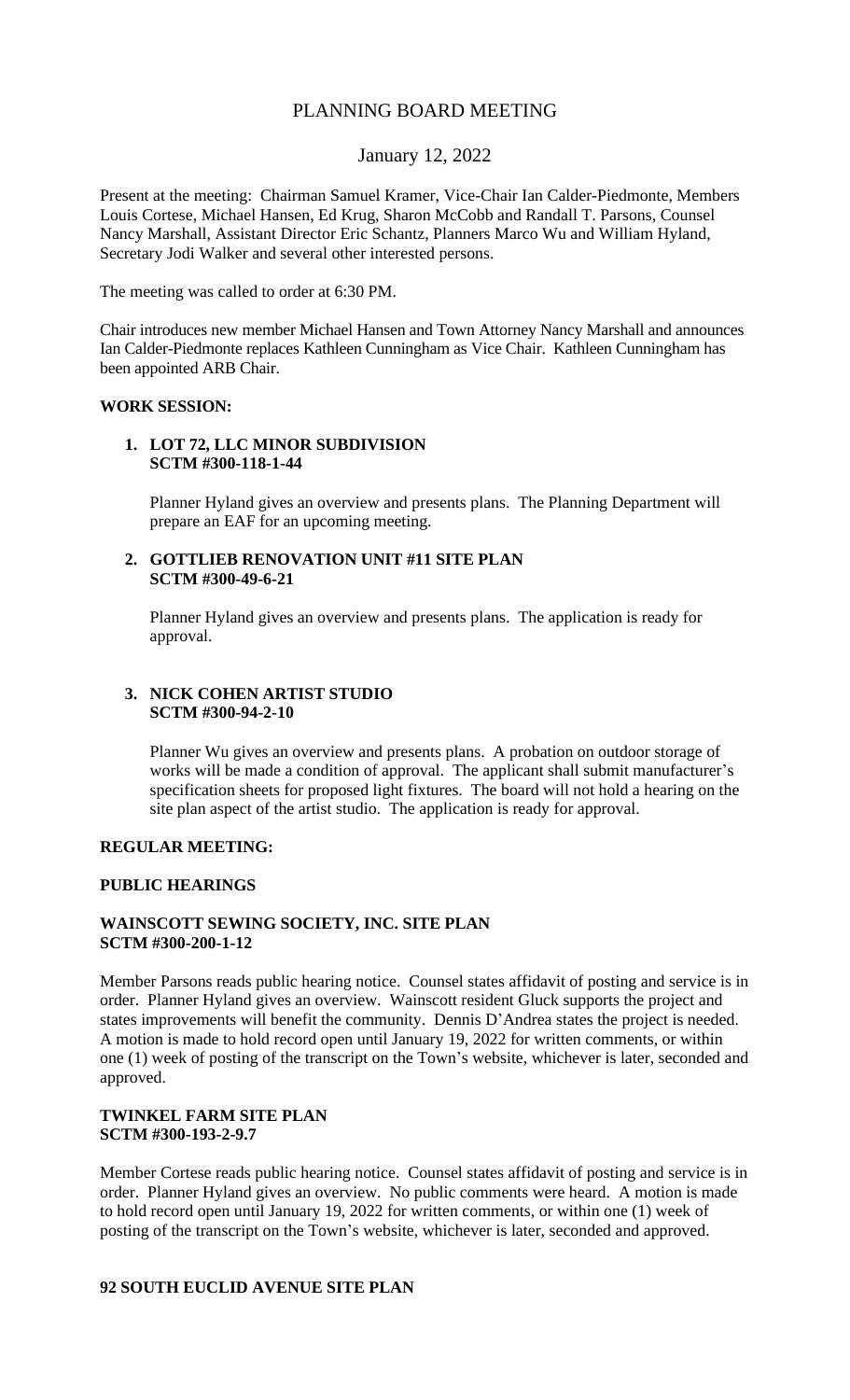# PLANNING BOARD MEETING

# January 12, 2022

Present at the meeting: Chairman Samuel Kramer, Vice-Chair Ian Calder-Piedmonte, Members Louis Cortese, Michael Hansen, Ed Krug, Sharon McCobb and Randall T. Parsons, Counsel Nancy Marshall, Assistant Director Eric Schantz, Planners Marco Wu and William Hyland, Secretary Jodi Walker and several other interested persons.

The meeting was called to order at 6:30 PM.

Chair introduces new member Michael Hansen and Town Attorney Nancy Marshall and announces Ian Calder-Piedmonte replaces Kathleen Cunningham as Vice Chair. Kathleen Cunningham has been appointed ARB Chair.

#### **WORK SESSION:**

#### **1. LOT 72, LLC MINOR SUBDIVISION SCTM #300-118-1-44**

Planner Hyland gives an overview and presents plans. The Planning Department will prepare an EAF for an upcoming meeting.

## **2. GOTTLIEB RENOVATION UNIT #11 SITE PLAN SCTM #300-49-6-21**

Planner Hyland gives an overview and presents plans. The application is ready for approval.

## **3. NICK COHEN ARTIST STUDIO SCTM #300-94-2-10**

Planner Wu gives an overview and presents plans. A probation on outdoor storage of works will be made a condition of approval. The applicant shall submit manufacturer's specification sheets for proposed light fixtures. The board will not hold a hearing on the site plan aspect of the artist studio. The application is ready for approval.

## **REGULAR MEETING:**

## **PUBLIC HEARINGS**

# **WAINSCOTT SEWING SOCIETY, INC. SITE PLAN SCTM #300-200-1-12**

Member Parsons reads public hearing notice. Counsel states affidavit of posting and service is in order. Planner Hyland gives an overview. Wainscott resident Gluck supports the project and states improvements will benefit the community. Dennis D'Andrea states the project is needed. A motion is made to hold record open until January 19, 2022 for written comments, or within one (1) week of posting of the transcript on the Town's website, whichever is later, seconded and approved.

## **TWINKEL FARM SITE PLAN SCTM #300-193-2-9.7**

Member Cortese reads public hearing notice. Counsel states affidavit of posting and service is in order. Planner Hyland gives an overview. No public comments were heard. A motion is made to hold record open until January 19, 2022 for written comments, or within one (1) week of posting of the transcript on the Town's website, whichever is later, seconded and approved.

## **92 SOUTH EUCLID AVENUE SITE PLAN**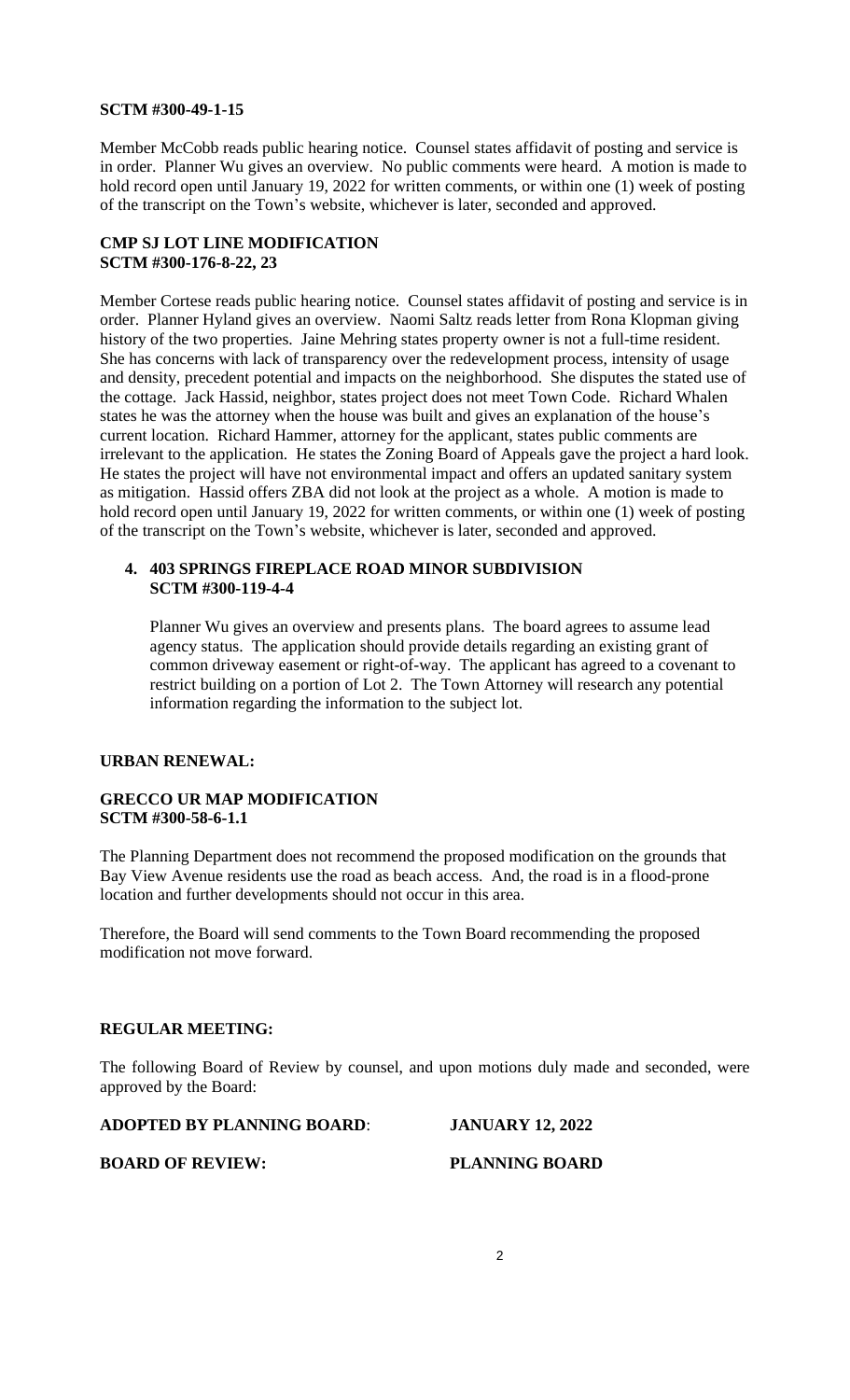#### **SCTM #300-49-1-15**

Member McCobb reads public hearing notice. Counsel states affidavit of posting and service is in order. Planner Wu gives an overview. No public comments were heard. A motion is made to hold record open until January 19, 2022 for written comments, or within one (1) week of posting of the transcript on the Town's website, whichever is later, seconded and approved.

# **CMP SJ LOT LINE MODIFICATION SCTM #300-176-8-22, 23**

Member Cortese reads public hearing notice. Counsel states affidavit of posting and service is in order. Planner Hyland gives an overview. Naomi Saltz reads letter from Rona Klopman giving history of the two properties. Jaine Mehring states property owner is not a full-time resident. She has concerns with lack of transparency over the redevelopment process, intensity of usage and density, precedent potential and impacts on the neighborhood. She disputes the stated use of the cottage. Jack Hassid, neighbor, states project does not meet Town Code. Richard Whalen states he was the attorney when the house was built and gives an explanation of the house's current location. Richard Hammer, attorney for the applicant, states public comments are irrelevant to the application. He states the Zoning Board of Appeals gave the project a hard look. He states the project will have not environmental impact and offers an updated sanitary system as mitigation. Hassid offers ZBA did not look at the project as a whole. A motion is made to hold record open until January 19, 2022 for written comments, or within one (1) week of posting of the transcript on the Town's website, whichever is later, seconded and approved.

# **4. 403 SPRINGS FIREPLACE ROAD MINOR SUBDIVISION SCTM #300-119-4-4**

Planner Wu gives an overview and presents plans. The board agrees to assume lead agency status. The application should provide details regarding an existing grant of common driveway easement or right-of-way. The applicant has agreed to a covenant to restrict building on a portion of Lot 2. The Town Attorney will research any potential information regarding the information to the subject lot.

## **URBAN RENEWAL:**

## **GRECCO UR MAP MODIFICATION SCTM #300-58-6-1.1**

The Planning Department does not recommend the proposed modification on the grounds that Bay View Avenue residents use the road as beach access. And, the road is in a flood-prone location and further developments should not occur in this area.

Therefore, the Board will send comments to the Town Board recommending the proposed modification not move forward.

## **REGULAR MEETING:**

The following Board of Review by counsel, and upon motions duly made and seconded, were approved by the Board:

## **ADOPTED BY PLANNING BOARD**: **JANUARY 12, 2022**

#### **BOARD OF REVIEW:** PLANNING BOARD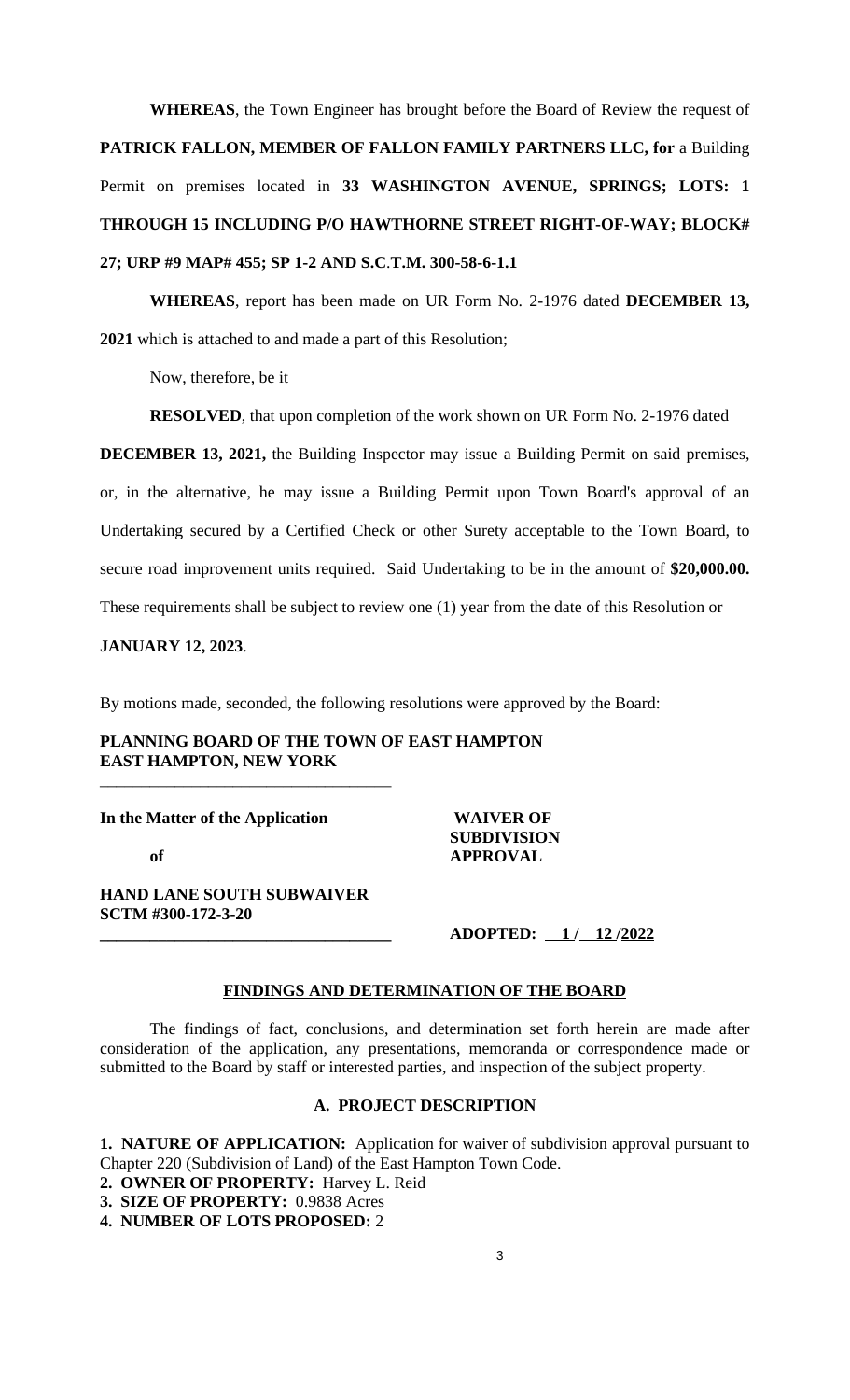**WHEREAS**, the Town Engineer has brought before the Board of Review the request of **PATRICK FALLON, MEMBER OF FALLON FAMILY PARTNERS LLC, for** a Building Permit on premises located in **33 WASHINGTON AVENUE, SPRINGS; LOTS: 1 THROUGH 15 INCLUDING P/O HAWTHORNE STREET RIGHT-OF-WAY; BLOCK# 27; URP #9 MAP# 455; SP 1-2 AND S.C**.**T.M. 300-58-6-1.1**

**WHEREAS**, report has been made on UR Form No. 2-1976 dated **DECEMBER 13, 2021** which is attached to and made a part of this Resolution;

Now, therefore, be it

**RESOLVED**, that upon completion of the work shown on UR Form No. 2-1976 dated

**DECEMBER 13, 2021,** the Building Inspector may issue a Building Permit on said premises, or, in the alternative, he may issue a Building Permit upon Town Board's approval of an Undertaking secured by a Certified Check or other Surety acceptable to the Town Board, to secure road improvement units required. Said Undertaking to be in the amount of **\$20,000.00.** These requirements shall be subject to review one (1) year from the date of this Resolution or

**JANUARY 12, 2023**.

By motions made, seconded, the following resolutions were approved by the Board:

# **PLANNING BOARD OF THE TOWN OF EAST HAMPTON EAST HAMPTON, NEW YORK**

**In the Matter of the Application WAIVER OF**

**SUBDIVISION of APPROVAL**

**HAND LANE SOUTH SUBWAIVER SCTM #300-172-3-20**

\_\_\_\_\_\_\_\_\_\_\_\_\_\_\_\_\_\_\_\_\_\_\_\_\_\_\_\_\_\_\_\_\_\_\_

**\_\_\_\_\_\_\_\_\_\_\_\_\_\_\_\_\_\_\_\_\_\_\_\_\_\_\_\_\_\_\_\_\_\_\_ ADOPTED: 1 / 12 /2022**

## **FINDINGS AND DETERMINATION OF THE BOARD**

The findings of fact, conclusions, and determination set forth herein are made after consideration of the application, any presentations, memoranda or correspondence made or submitted to the Board by staff or interested parties, and inspection of the subject property.

#### **A. PROJECT DESCRIPTION**

**1. NATURE OF APPLICATION:** Application for waiver of subdivision approval pursuant to Chapter 220 (Subdivision of Land) of the East Hampton Town Code.

- **2. OWNER OF PROPERTY:** Harvey L. Reid
- **3. SIZE OF PROPERTY:** 0.9838 Acres

**4. NUMBER OF LOTS PROPOSED:** 2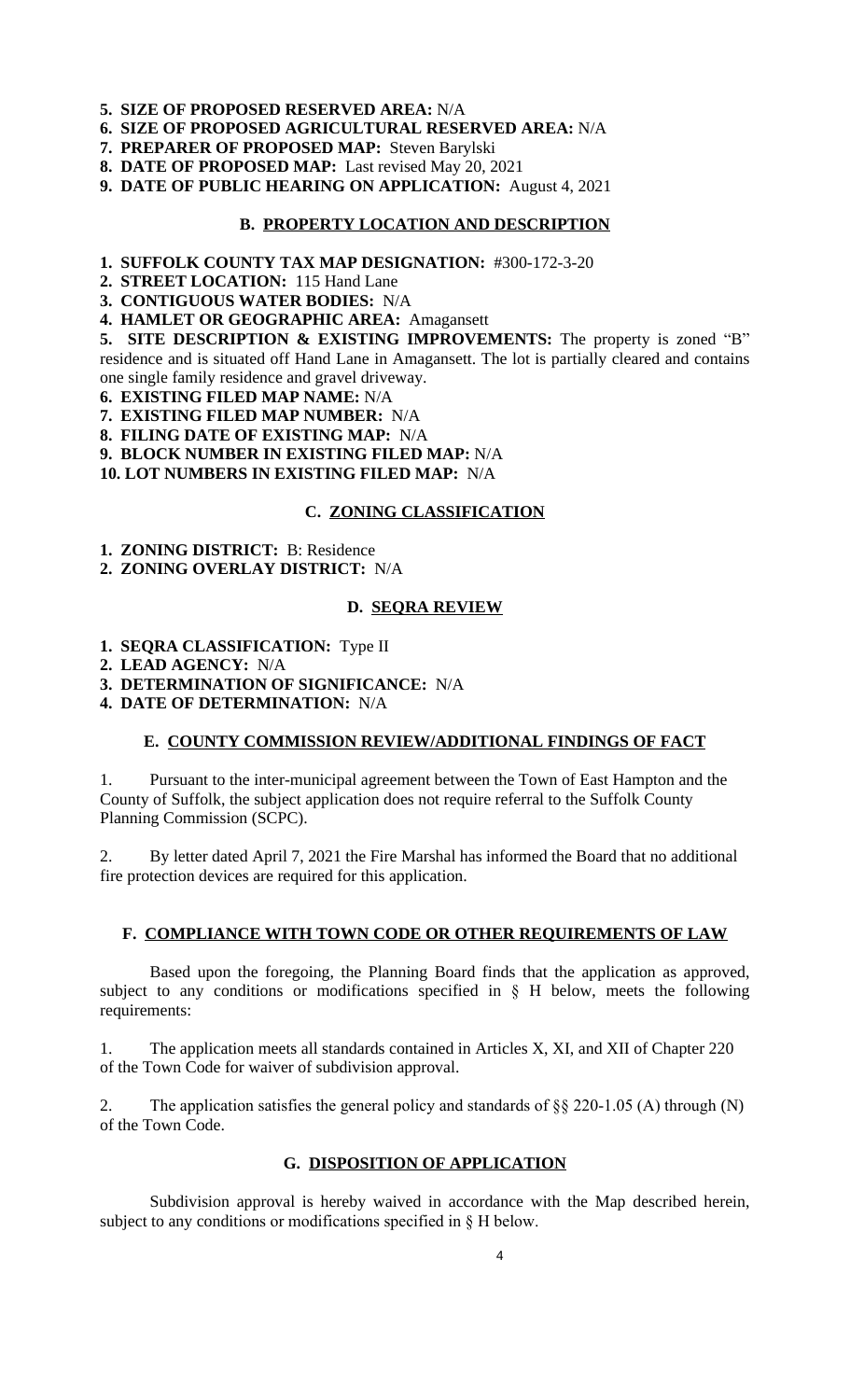- **5. SIZE OF PROPOSED RESERVED AREA:** N/A
- **6. SIZE OF PROPOSED AGRICULTURAL RESERVED AREA:** N/A
- **7. PREPARER OF PROPOSED MAP:** Steven Barylski
- **8. DATE OF PROPOSED MAP:** Last revised May 20, 2021
- **9. DATE OF PUBLIC HEARING ON APPLICATION:** August 4, 2021

#### **B. PROPERTY LOCATION AND DESCRIPTION**

- **1. SUFFOLK COUNTY TAX MAP DESIGNATION:** #300-172-3-20
- **2. STREET LOCATION:** 115 Hand Lane
- **3. CONTIGUOUS WATER BODIES:** N/A
- **4. HAMLET OR GEOGRAPHIC AREA:** Amagansett

**5. SITE DESCRIPTION & EXISTING IMPROVEMENTS:** The property is zoned "B" residence and is situated off Hand Lane in Amagansett. The lot is partially cleared and contains one single family residence and gravel driveway.

- **6. EXISTING FILED MAP NAME:** N/A
- **7. EXISTING FILED MAP NUMBER:** N/A
- **8. FILING DATE OF EXISTING MAP:** N/A
- **9. BLOCK NUMBER IN EXISTING FILED MAP:** N/A

**10. LOT NUMBERS IN EXISTING FILED MAP:** N/A

# **C. ZONING CLASSIFICATION**

- **1. ZONING DISTRICT:** B: Residence
- **2. ZONING OVERLAY DISTRICT:** N/A

#### **D. SEQRA REVIEW**

- **1. SEQRA CLASSIFICATION:** Type II
- **2. LEAD AGENCY:** N/A
- **3. DETERMINATION OF SIGNIFICANCE:** N/A
- **4. DATE OF DETERMINATION:** N/A

#### **E. COUNTY COMMISSION REVIEW/ADDITIONAL FINDINGS OF FACT**

1. Pursuant to the inter-municipal agreement between the Town of East Hampton and the County of Suffolk, the subject application does not require referral to the Suffolk County Planning Commission (SCPC).

2. By letter dated April 7, 2021 the Fire Marshal has informed the Board that no additional fire protection devices are required for this application.

#### **F. COMPLIANCE WITH TOWN CODE OR OTHER REQUIREMENTS OF LAW**

Based upon the foregoing, the Planning Board finds that the application as approved, subject to any conditions or modifications specified in § H below, meets the following requirements:

1. The application meets all standards contained in Articles X, XI, and XII of Chapter 220 of the Town Code for waiver of subdivision approval.

2. The application satisfies the general policy and standards of §§ 220-1.05 (A) through (N) of the Town Code.

## **G. DISPOSITION OF APPLICATION**

Subdivision approval is hereby waived in accordance with the Map described herein, subject to any conditions or modifications specified in § H below.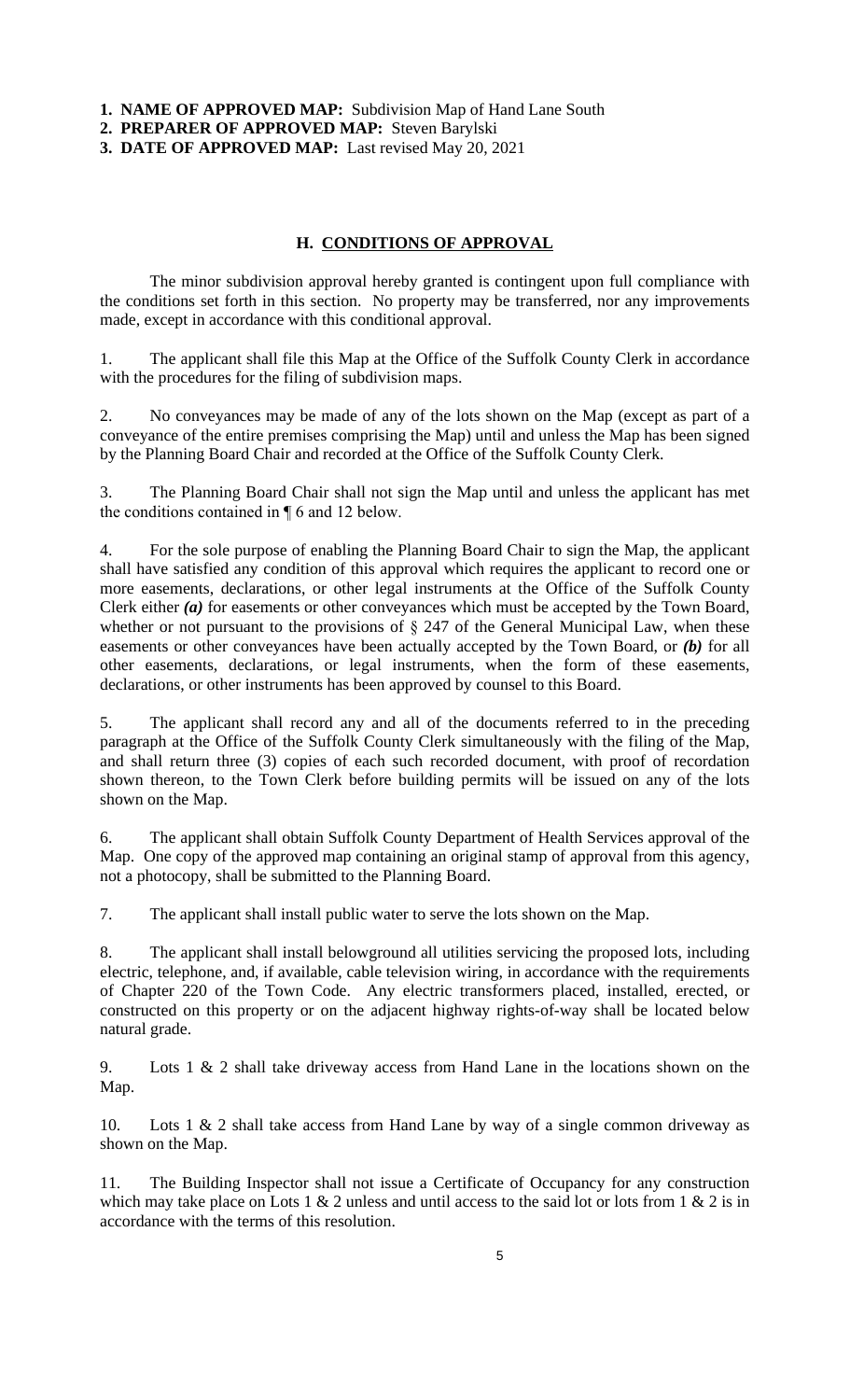**1. NAME OF APPROVED MAP:** Subdivision Map of Hand Lane South

**2. PREPARER OF APPROVED MAP:** Steven Barylski

**3. DATE OF APPROVED MAP:** Last revised May 20, 2021

## **H. CONDITIONS OF APPROVAL**

The minor subdivision approval hereby granted is contingent upon full compliance with the conditions set forth in this section. No property may be transferred, nor any improvements made, except in accordance with this conditional approval.

1. The applicant shall file this Map at the Office of the Suffolk County Clerk in accordance with the procedures for the filing of subdivision maps.

2. No conveyances may be made of any of the lots shown on the Map (except as part of a conveyance of the entire premises comprising the Map) until and unless the Map has been signed by the Planning Board Chair and recorded at the Office of the Suffolk County Clerk.

3. The Planning Board Chair shall not sign the Map until and unless the applicant has met the conditions contained in ¶ 6 and 12 below.

4. For the sole purpose of enabling the Planning Board Chair to sign the Map, the applicant shall have satisfied any condition of this approval which requires the applicant to record one or more easements, declarations, or other legal instruments at the Office of the Suffolk County Clerk either *(a)* for easements or other conveyances which must be accepted by the Town Board, whether or not pursuant to the provisions of  $\S$  247 of the General Municipal Law, when these easements or other conveyances have been actually accepted by the Town Board, or *(b)* for all other easements, declarations, or legal instruments, when the form of these easements, declarations, or other instruments has been approved by counsel to this Board.

5. The applicant shall record any and all of the documents referred to in the preceding paragraph at the Office of the Suffolk County Clerk simultaneously with the filing of the Map, and shall return three (3) copies of each such recorded document, with proof of recordation shown thereon, to the Town Clerk before building permits will be issued on any of the lots shown on the Map.

6. The applicant shall obtain Suffolk County Department of Health Services approval of the Map. One copy of the approved map containing an original stamp of approval from this agency, not a photocopy, shall be submitted to the Planning Board.

7. The applicant shall install public water to serve the lots shown on the Map.

8. The applicant shall install belowground all utilities servicing the proposed lots, including electric, telephone, and, if available, cable television wiring, in accordance with the requirements of Chapter 220 of the Town Code. Any electric transformers placed, installed, erected, or constructed on this property or on the adjacent highway rights-of-way shall be located below natural grade.

9. Lots 1 & 2 shall take driveway access from Hand Lane in the locations shown on the Map.

10. Lots 1 & 2 shall take access from Hand Lane by way of a single common driveway as shown on the Map.

11. The Building Inspector shall not issue a Certificate of Occupancy for any construction which may take place on Lots 1  $\&$  2 unless and until access to the said lot or lots from 1  $\&$  2 is in accordance with the terms of this resolution.